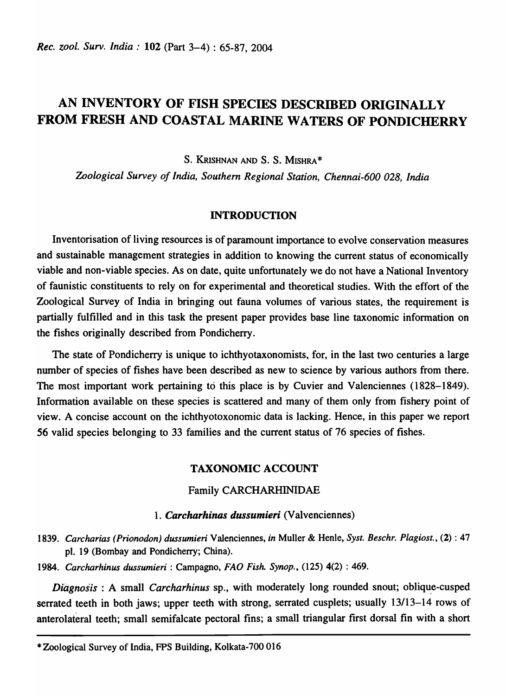# AN INVENTORY OF FISH SPECIES DESCRIBED ORIGINALLY FROM FRESH AND COASTAL MARINE WATERS OF PONDICHERRY

S. KRISHNAN AND S. S. MISHRA \*

*Zoological Survey of India, Southern Regional Station, Chennai-600 028, India* 

### INTRODUCTION

Inventorisation of living resources is of paramount importance to evolve conservation measures and sustainable management strategies in addition to knowing the current status of economically viable and non-viable species. As on date, quite unfortunately we do not have a National Inventory of faunistic constituents to rely on for experimental and theoretical studies. With the effort of the Zoological Survey of India in bringing out fauna volumes of various states, the requirement is partially fulfilled and in this task the present paper provides base line taxonomic information on the fishes originally described from Pondicherry.

The state of Pondicherry is unique to ichthyotaxonomists, for, in the last two centuries a large number of species of fishes have been described as new to science by various authors from there. The most important work pertaining to this place is by Cuvier and Valenciennes (1828-1849). Information available on these species is scattered and many of them only from fishery point of view. A concise account on the ichthyotoxonomic data is lacking. Hence, in this paper we report 56 valid species belonging to 33 families and the current status of 76 species of fishes.

# TAXONOMIC ACCOUNT

# Family CARCHARHINIDAE

#### *1. Carcharhinas dussumieri* (Valvenciennes)

*1839. Carcharias (Prionodon) dussumieri* Valenciennes, *in* Muller & Henle, *Syst. Beschr. Plagiost.,* (2) : 47 pI. 19 (Bombay and Pondicherry; China).

*1984. Carcharhinus dussumieri* : Campagno, *FAD Fish. Synop.,* (125) 4(2) : 469.

*Diagnosis* : A small *Carcharhinus* sp., with moderately long rounded snout; oblique-cusped serrated teeth in both jaws; upper teeth with strong, serrated cusplets; usually 13/13-14 rows of anterolateral teeth; small semifaicate pectoral fins; a small triangular first dorsal fin with a short

<sup>\*</sup> Zoological Survey of India, FPS Building, Kolkata-700 016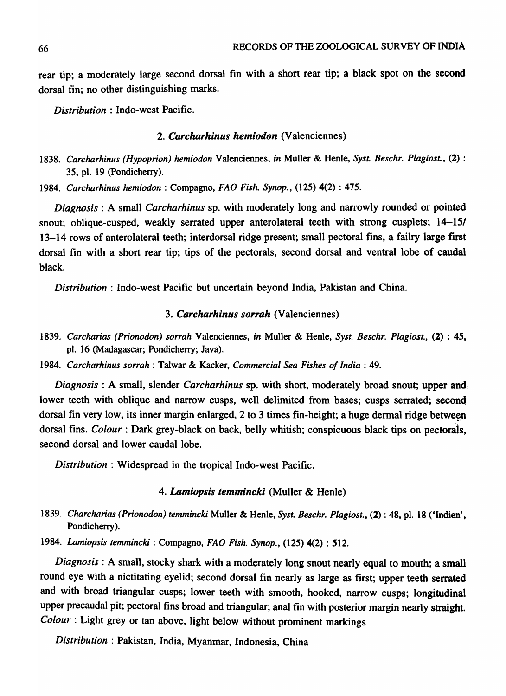rear tip; a moderately large second dorsal fin with a short rear tip; a black spot on the second dorsal fin; no other distinguishing marks.

*Distribution:* Indo-west Pacific.

### *2. Carcharhinus hemiodon* (Valenciennes)

*1838. Carcharhinus (Hypoprion) hemiodon* Valenciennes, *in* Muller & Henle, *Syst. Beschr. Plagiost.,* (2) : 35, pI. 19 (pondicherry).

*1984. Carcharhinus hemiodon* : Compagno, *FAD Fish. Synop.,* (125) 4(2) : 475.

*Diagnosis:* A small *Carcharhinus* sp. with moderately long and narrowly rounded or pointed snout; oblique-cusped, weakly serrated upper anterolateral teeth with strong cusplets; 14–15/ 13-14 rows of anterolateral teeth; interdorsal ridge present; small pectoral fins, a failry large first dorsal fin with a short rear tip; tips of the pectorals, second dorsal and ventral lobe of caudal black.

*Distribution:* Indo-west Pacific but uncertain beyond India, Pakistan and China.

### 3. Carcharhinus sorrah (Valenciennes)

- *1839. Carcharias (Prionodon) sorrah* Valenciennes, *in* Muller & Henle, *Syst. Beschr. Plagiost.,* (2) : 45, pI. 16 (Madagascar; Pondicherry; Java).
- 1984. Carcharhinus sorrah : Talwar & Kacker, *Commercial Sea Fishes of India* : 49.

*Diagnosis* : A small, slender *Carcharhinus* sp. with short, moderately broad snout; upper and:: lower teeth with oblique and narrow cusps, well delimited from bases; cusps serrated; second: dorsal fin very low, its inner margin enlarged, 2 to 3 times fin-height; a huge dermal ridge between dorsal fins. *Colour* : Dark grey-black on back, belly whitish; conspicuous black tips on pectorals, second dorsal and lower caudal lobe.

*Distribution:* Widespread in the tropical Indo-west Pacific.

### *4. Lamiopsis temmincki* (Muller & Henle)

*1839. Charcharias (Prionodon) temmincki* Muller & Henle, *Syst. Beschr. Plagiost.,* (2) : 48, pI. 18 ('Indien', Pondicherry).

*1984. Lamiopsis temmincki* : Compagno, *FAD Fish. Synop.,* (125) 4(2) : 512.

*Diagnosis* : A small, stocky shark with a moderately long snout nearly equal to mouth; a small round eye with a nictitating eyelid; second dorsal fin nearly as large as first; upper teeth serrated and with broad triangular cusps; lower teeth with smooth, hooked, narrow cusps; longitudinal upper precaudal pit; pectoral fins broad and triangular; anal fin with posterior margin nearly straight. *Colour* : Light grey or tan above, light below without prominent markings

*Distribution:* Pakistan, India, Myanmar, Indonesia, China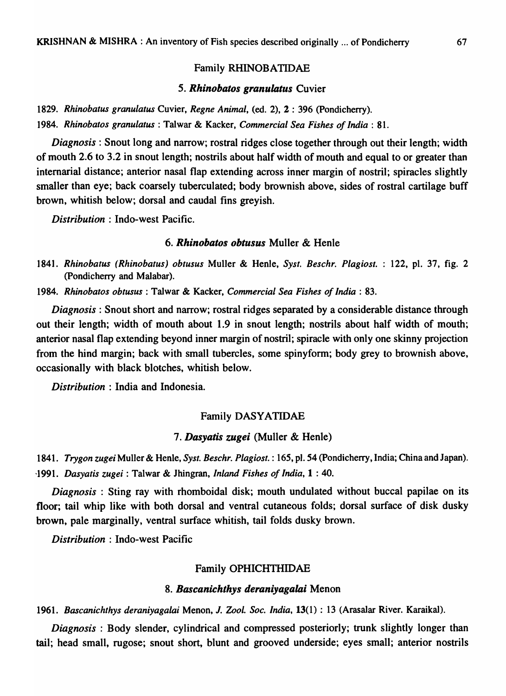### Family RHINOBATIDAE

#### *5. Rhinobatos granulatus* Cuvier

*1829. Rhinobatus granulatus* Cuvier, *Regne Animal,* (ed. 2), 2 : 396 (Pondicherry). *1984. Rhinobatos granulatus* : Talwar & Kacker, *Commercial Sea Fishes of India: 81.* 

*Diagnosis* : Snout long and narrow; rostral ridges close together through out their length; width of mouth 2.6 to 3.2 in snout length; nostrils about half width of mouth and equal to or greater than intemarial distance; anterior nasal flap extending across inner margin of nostril; spiracles slightly smaller than eye; back coarsely tuberculated; body brownish above, sides of rostral cartilage buff brown, whitish below; dorsal and caudal fins greyish.

*Distribution:* Indo-west Pacific.

#### *6. Rhinobatos obtusus* Muller & Henle

*1841. Rhinobatus (Rhinobatus) obtusus* Muller & Henle, *Syst. Beschr. Plagiost.* 122, pI. 37, fig. 2 (Pondicherry and Malabar).

*1984. Rhinobatos obtusus* : Talwar & Kacker, *Commercial Sea Fishes of India: 83.* 

*Diagnosis:* Snout short and narrow; rostral ridges separated by a considerable distance through out their length; width of mouth about 1.9 in snout length; nostrils about half width of mouth; anterior nasal flap extending beyond inner margin of nostril; spiracle with only one skinny projection from the hind margin; back with small tubercles, some spinyform; body grey to brownish above, occasionally with black blotches, whitish below.

*Distribution* : India and Indonesia.

### Family DASYATIDAE

# *7. Dasyatis zugei* (Muller & Henle)

*1841. Trygon zugeiMuller* & Henle, *Syst. Beschr. Plagiost.* : 165, pI. 54 (Pondicherry, India; China and Japan). *-1991. Dasyatis zugei* : Talwar & Jhingran, *Inland Fishes of India,* 1 : 40.

*Diagnosis* : Sting ray with rhomboidal disk; mouth undulated without buccal papilae on its floor; tail whip like with both dorsal and ventral cutaneous folds; dorsal surface of disk dusky brown, pale marginally, ventral surface whitish, tail folds dusky brown.

*Distribution* : Indo-west Pacific

### Family OPHICHTHIDAE

#### *8. Bascanichthys deraniyagalai* Menon

*1961. Bascanichthys deraniyagalai* Menon, J. *Zool. Soc. India,* 13(1) : 13 (Arasalar River. Karaikal).

*Diagnosis*: Body slender, cylindrical and compressed posteriorly; trunk slightly longer than tail; head small, rugose; snout short, blunt and grooved underside; eyes small; anterior nostrils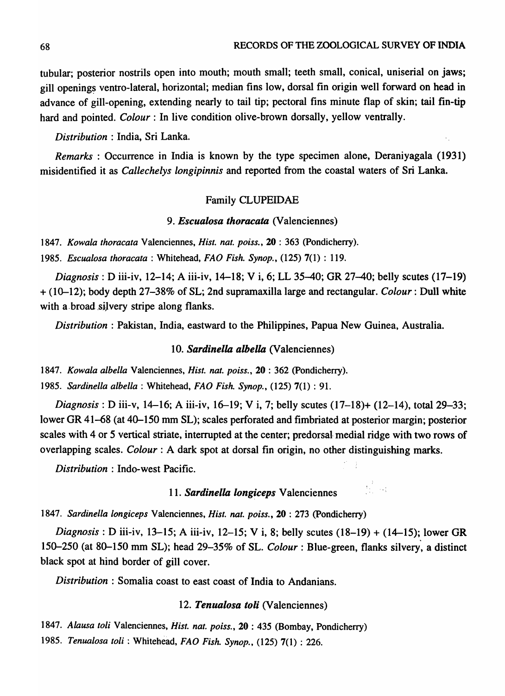÷

 $\mathcal{A}_{\mathcal{C}_1,\mathcal{C}_2}$ 

tubular; posterior nostrils open into mouth; mouth small; teeth small, conical, uniserial on jaws; gill openings ventro-lateral, horizontal; median fins low, dorsal fin origin well forward on head in advance of gill-opening, extending nearly to tail tip; pectoral fins minute flap of skin; tail fin-tip hard and pointed. *Colour*: In live condition olive-brown dorsally, yellow ventrally.

*Distribution* : India, Sri Lanka.

*Remarks:* Occurrence in India is known by the type specimen alone, Deraniyagala (1931) misidentified it as *Callechelys longipinnis* and reported from the coastal waters of Sri Lanka.

#### Family CLUPEIDAE

### *9. Escualosa thoracata* (Valenciennes)

*1847. Kowala thoracata* Valenciennes, *Hist. nat. poiss.,* 20 : 363 (pondicherry).

*1985. Escualosa thoracata* : Whitehead, *FAO Fish. Synop.,* (125) 7(1) : 119.

*Diagnosis*: *D* iii-iv, 12–14; A iii-iv, 14–18; V i, 6; LL 35–40; GR 27–40; belly scutes (17–19) + (10-12); body depth 27-38% of SL; 2nd supramaxilla large and rectangular. *Colour:* Dull white with a broad silvery stripe along flanks.

*Distribution* : Pakistan, India, eastward to the Philippines, Papua New Guinea, Australia.

*10. Sardinella albella* (Valenciennes)

*1847. Kowala albella* Valenciennes, *Hist. nat. poiss.,* 20 : 362 (pondicherry). *1985. Sardinella albella* : Whitehead, *FAO Fish. Synop.,* (125) 7(1) : 91.

*Diagnosis:* D iii-v, 14-16; A iii-iv, 16-19; V i, 7; belly scutes (17-18)+ (12-14), tota129-33; lower GR 41-68 (at 40-150 mm SL); scales perforated and fimbriated at posterior margin; posterior scales with 4 or 5 vertical striate, interrupted at the center; predorsal medial ridge with two rows of overlapping scales. *Colour* : A dark spot at dorsal fin origin, no other distinguishing marks.

*Distribution:* Indo-west Pacific.

# *11. Sardinella longiceps* Valenciennes

*1847. Sardinella longiceps* Valenciennes, *Hist. nat. poiss.,* 20 : 273 (pondicherry)

*Diagnosis:* D iii-iv, 13-15; A iii-iv, 12-15; V i, 8; belly scutes (18-19) + (14-15); lower GR 150-250 (at 80-150 mm SL); head 29-35% of SL. *Colour:* Blue-green, flanks silvery, a distinct black spot at hind border of gill cover.

*Distribution* : Somalia coast to east coast of India to Andanians.

### *12. Tenualosa toli* (Valenciennes)

*1847. Alausa toli* Valenciennes, *Hist. nat. poiss.,* 20 : 435 (Bombay, Pondicherry)

*1985. Tenualosa toli* : Whitehead, *FAD Fish. Synop.,* (125) 7(1) : 226.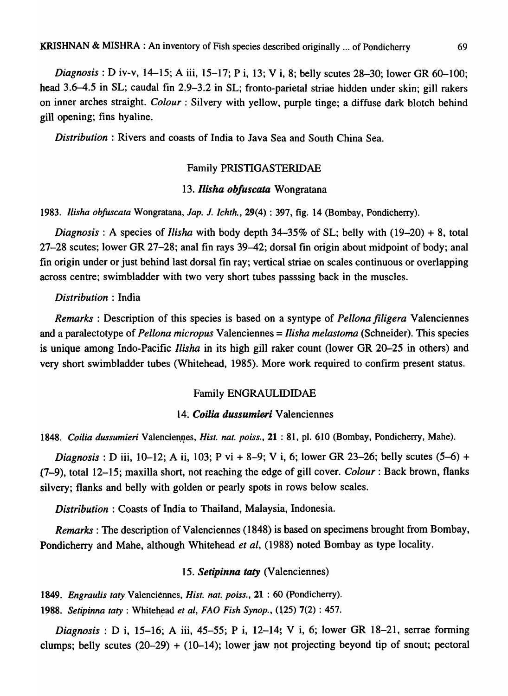*Diagnosis:* D iv-v, 14-15; A iii, 15-17; Pi, 13; V i, 8; belly scutes 28-30; lower OR 60-100; head 3.6-4.5 in SL; caudal fin 2.9-3.2 in SL; fronto-parietal striae hidden under skin; gill rakers on inner arches straight. *Colour:* Silvery with yellow, purple tinge; a diffuse dark blotch behind gill opening; fins hyaline.

*Distribution* : Rivers and coasts of India to Java Sea and South China Sea.

### Family PRISTIGASTERIDAE

### *13. llisha obfuscata* Wongratana

*1983. llisha obfuscata* Wongratana, *Jap.* J. *lchth.,* 29(4) : 397, fig. 14 (Bombay, Pondicherry).

*Diagnosis* : A species of *llisha* with body depth 34-35% of SL; belly with (19-20) + 8, total 27-28 scutes; lower GR 27-28; anal fin rays 39-42; dorsal fin origin about midpoint of body; anal fin origin under or just behind last dorsal fin ray; vertical striae on scales continuous or overlapping across centre; swimbladder with two very short tubes passsing back in the muscles.

### *Distribution* : India

*Remarks* : Description of this species is based on a syntype of *Pellona filigera* Valenciennes and a paralectotype of *Pellona micropus* Valenciennes = *llisha melastoma* (Schneider). This species is unique among Indo-Pacific *llisha* in its high gill raker count (lower GR 20-25 in others) and very short swimbladder tubes (Whitehead, 1985). More work required to confirm present status.

#### Family ENGRAULIDIDAE

### 14. *Coilia dussumieri* Valenciennes

1848. Coilia dussumieri Valenciennes, *Hist. nat. poiss.*, 21:81, pl. 610 (Bombay, Pondicherry, Mahe).

*Diagnosis*: *D* iii, 10–12; A ii, 103; P vi + 8–9; V i, 6; lower GR 23–26; belly scutes (5–6) + (7-9), total 12-15; maxilla short, not reaching the edge of gill cover. *Colour:* Back brown, flanks silvery; flanks and belly with golden or pearly spots in rows below scales.

*Distribution* : Coasts of India to Thailand, Malaysia, Indonesia.

*Remarks:* The description of Valenciennes (1848) is based on specimens brought from Bombay, Pondicherry and Mahe, although Whitehead *et al,* (1988) noted Bombay as type locality.

#### 15. *Setipinna taty* (Valenciennes)

*1849. Engraulis taty* Valenciennes, *Hist. nat. poiss.,* 21 : 60 (Pondicherry).

1988. Setipinna taty : Whitehead *et al, FAO Fish Synop.*, (125) 7(2) : 457.

*Diagnosis*: *D* i, 15-16; A iii, 45-55; P i, 12-14; V i, 6; lower GR 18-21, serrae forming clumps; belly scutes  $(20-29) + (10-14)$ ; lower jaw not projecting beyond tip of snout; pectoral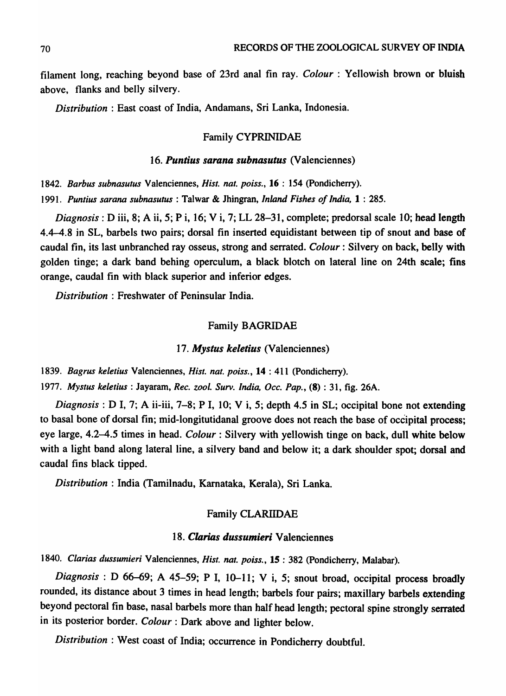filament long, reaching beyond base of 23rd anal fin ray. *Colour* : Yellowish brown or bluish above, flanks and belly silvery.

*Distribution* : East coast of India, Andamans, Sri Lanka, Indonesia.

### Family CYPRINIDAE

### *16. Puntius sarana subnasutus* (Valenciennes)

*1842. Barbus subnasutus* Valenciennes, *Hist. nat. poiss.,* 16 : 154 (Pondicherry).

*1991. Puntius sarana subnasutus* : Talwar & Jhingran, *Inland Fishes of India,* 1 : 285.

*Diagnosis:* D iii, 8; A ii, 5; Pi, 16; Vi, 7; LL 28-31, complete; predorsal scale 10; head length 4.4-4.8 in SL, barbels two pairs; dorsal fin inserted equidistant between tip of snout and base of caudal fin, its last unbranched ray osseus, strong and serrated. *Colour:* Silvery on back, belly with golden tinge; a dark band behing operculum, a black blotch on lateral line on 24th scale; fins orange, caudal fin with black superior and inferior edges.

*Distribution* : Freshwater of Peninsular India.

#### Family BAGRIDAE

#### *17. Mystus keletius* (Valenciennes)

*1839. Bagrus keletius* Valenciennes, *Hist. nat. poiss.,* 14 : 411 (pondicherry).

*1977. Mystus keletius* : Jayaram, *Rec. zool. Surv. India, Dcc. Pap.,* (8) : 31, fig. 26A.

*Diagnosis:* D I, 7; A ii-iii, 7-8; P I, 10; V i, 5; depth 4.5 in SL; occipital bone not extending to basal bone of dorsal fin; mid-Iongitutidanal groove does not reach the base of occipital process; eye large, 4.2-4.5 times in head. *Colour:* Silvery with yellowish tinge on back, dull white below with a light band along lateral line, a silvery band and below it; a dark shoulder spot; dorsal and caudal fins black tipped.

*Distribution:* India (Tamilnadu, Karnataka, Kerala), Sri Lanka.

### Family CLARllDAE

#### *18. Clarias dussumieri* Valenciennes

1840. Clarias dussumieri Valenciennes, *Hist. nat. poiss.*, 15: 382 (Pondicherry, Malabar).

*Diagnosis* : D 66-69; A 45-59; P I, 10-11; V i, 5; snout broad, occipital process broadly rounded, its distance about 3 times in head length; barbels four pairs; maxillary barbels extending beyond pectoral fin base, nasal barbels more than half head length; pectoral spine strongly serrated in its posterior border. *Colour:* Dark above and lighter below.

*Distribution* : West coast of India; occurrence in Pondicherry doubtful.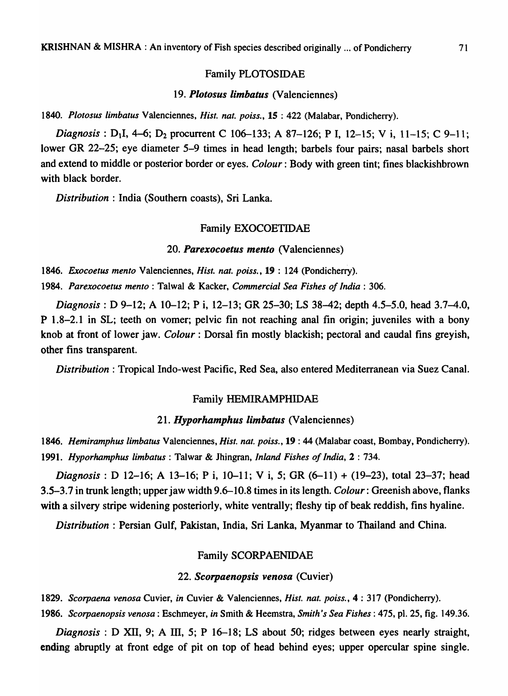#### Family PLOTOSIDAE

### *19. Plotosus limbatus* (Valenciennes)

*1840. Plotosus limbatus* Valenciennes, *Hist. nat. poiss.,* 15 : 422 (Malabar, Pondicherry).

*Diagnosis*: D<sub>1</sub>I, 4–6; D<sub>2</sub> procurrent C 106–133; A 87–126; P I, 12–15; V i, 11–15; C 9–11; lower OR 22-25; eye diameter 5-9 times in head length; barbels four pairs; nasal barbels short and extend to middle or posterior border or eyes. *Colour:* Body with green tint; fines blackishbrown with black border.

*Distribution* : India (Southern coasts), Sri Lanka.

#### Family EXOCOETIDAE

#### *20. Parexocoetus mento* (Valenciennes)

*1846. Exocoetus mento* Valenciennes, *Hist. nat. poiss.,* 19 : 124 (Pondicherry).

*1984. Parexocoetus mento* : Talwal & Kacker, *Commercial Sea Fishes of India* : 306.

*Diagnosis:* D 9-12; A 10-12; P i, 12-13; OR 25-30; LS 38-42; depth 4.5-5.0, head 3.7-4.0, P 1.8-2.1 in SL; teeth on vomer; pelvic fin not reaching anal fin origin; juveniles with a bony knob at front of lower jaw. *Colour* : Dorsal fin mostly blackish; pectoral and caudal fins greyish, other fins transparent.

*Distribution:* Tropical Indo-west Pacific, Red Sea, also entered Mediterranean via Suez Canal.

# Family HEMIRAMPHIDAE

### *21. Hyporhamphus limbatus* (Valenciennes)

*1846. Hemiramphus limbatus* Valenciennes, *Hist. nat. poiss.,* 19 : 44 (Malabar coast, Bombay, Pondicherry). *1991. Hyporhamphus limbatus* : Talwar & Jhingran, *Inland Fishes of India,* 2 : 734.

*Diagnosis:* D 12-16; A 13-16; P i, 10-11; V i, 5; GR (6-11) + (19-23), total 23-37; head 3.5-3.7 in trunk length; upper jaw width 9.6-10.8 times in its length. *Colour:* Greenish above, flanks with a silvery stripe widening posteriorly, white ventrally; fleshy tip of beak reddish, fins hyaline.

*Distribution* : Persian Gulf, Pakistan, India, Sri Lanka, Myanmar to Thailand and China.

#### Family SCORPAENIDAE

#### *22. Scorpaenopsis venosa* (Cuvier)

*1829. Scorpaena venosa* Cuvier, *in* Cuvier & Valenciennes, *Hist. nat. poiss.,* 4 : 317 (Pondicherry). *1986. Scorpaenopsis venosa:* Eschmeyer, *in* Smith & Heemstra, *Smith's Sea Fishes:* 475, pI. 25, fig. 149.36.

*Diagnosis*: D XII, 9; A III, 5; P 16–18; LS about 50; ridges between eyes nearly straight, ending abruptly at front edge of pit on top of head behind eyes; upper opercular spine single.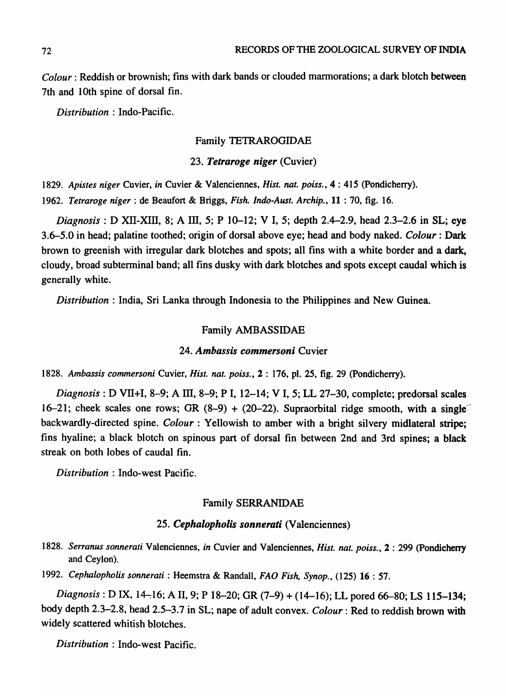*Colour:* Reddish or brownish; fins with dark bands or clouded marmorations; a dark blotch between 7th and 10th spine of dorsal fin.

*Distribution* : Indo-Pacific.

# Family TETRAROGIDAE

*23. Tetraroge niger* (Cuvier)

1829. Apistes niger Cuvier, in Cuvier & Valenciennes, *Hist. nat. poiss.*, 4:415 (Pondicherry). *1962. Tetraroge niger:* de Beaufort & Briggs, *Fish. Indo-Aust. Archip.,* 11 : 70, fig. 16.

*Diagnosis:* D Xll-XIll, 8; A Ill, 5; P 10-12; V I, 5; depth 2.4-2.9, head 2.3-2.6 in SL; eye 3.6-5.0 in head; palatine toothed; origin of dorsal above eye; head and body naked. *Colour:* Dark brown to greenish with irregular dark blotches and spots; all fins with a white border and a dark, cloudy, broad subterminal band; all fins dusky with dark blotches and spots except caudal which is generally white.

*Distribution:* India, Sri Lanka through Indonesia to the Philippines and New Guinea.

### Family AMBASSIDAE

#### *24. Ambassis commersoni* Cuvier

1828. Ambassis commersoni Cuvier, *Hist. nat. poiss.*, 2: 176, pl. 25, fig. 29 (Pondicherry).

*Diagnosis:* D Vll+I, 8-9; A III, 8-9; P I, 12-14; V I, 5; LL 27-30, complete; predorsal scales 16-21; cheek scales one rows; GR  $(8-9) + (20-22)$ . Supraorbital ridge smooth, with a single<sup>-</sup> backwardly-directed spine. *Colour*: Yellowish to amber with a bright silvery midlateral stripe; fins hyaline; a black blotch on spinous part of dorsal fin between 2nd and 3rd spines; a black streak on both lobes of caudal fin.

*Distribution:* Indo-west Pacific.

### Family SERRANIDAE

### *25. Cephalopholis sonnerati* (Valenciennes)

- 1828. Serranus sonnerati Valenciennes, *in* Cuvier and Valenciennes, *Hist. nat. poiss.*, 2: 299 (Pondicherry and Ceylon).
- *1992. Cephalopholis sonnerati* : Heemstra & Randall, *FAD Fish, Synop.,* (125) 16 : 57.

*Diagnosis*: *D* IX, 14-16; A II, 9; P 18-20; GR (7-9) + (14-16); LL pored 66-80; LS 115-134; body depth 2.3-2.8, head 2.5-3.7 in SL; nape of adult convex. *Colour:* Red to reddish brown with widely scattered whitish blotches.

*Distribution:* Indo-west Pacific.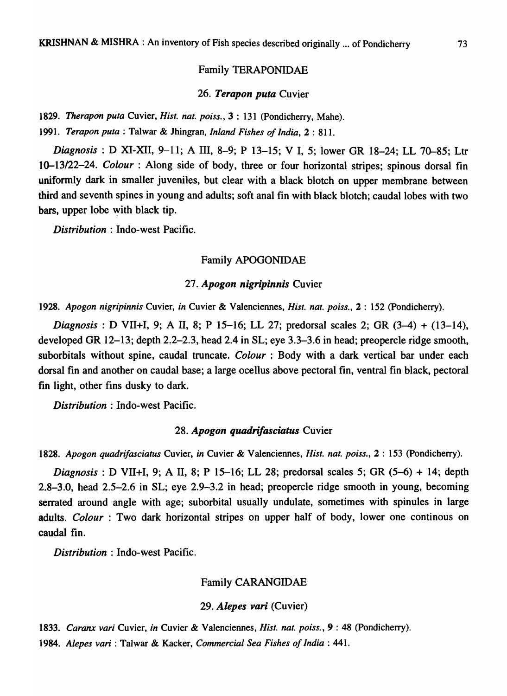### Family TERAPONIDAE

#### *26. Terapon pula* Cuvier

*1829. Therapon puta* Cuvier, *Hist. nat. poiss.,* 3 : 131 (pondicherry, Mahe).

*1991. Terapon puta* : Talwar & Jhingran, *Inland Fishes of India,* 2 : 811.

*Diagnosis*: D XI-XII, 9-11; A III, 8-9; P 13-15; V I, 5; lower GR 18-24; LL 70-85; Ltr 10-13/22-24. *Colour*: Along side of body, three or four horizontal stripes; spinous dorsal fin uniformly dark in smaller juveniles, but clear with a black blotch on upper membrane between third and seventh spines in young and adults; soft anal fin with black blotch; caudal lobes with two bars, upper lobe with black tip.

*Distribution:* Indo-west Pacific.

#### Family APOGONIDAE

### *27. Apogon nigripinnis* Cuvier

*1928. Apogon nigripinnis* Cuvier, *in* Cuvier & Valenciennes, *Hist. nat. poiss.,* 2 : 152 (pondicherry).

*Diagnosis:* D VII+I, 9; A II, 8; P 15-16; LL 27; predorsal scales 2; OR (3-4) + (13-14), developed OR 12-13; depth 2.2-2.3, head 2.4 in SL; eye 3.3-3.6 in head; preopercle ridge smooth, suborbitals without spine, caudal truncate. *Colour* : Body with a dark vertical bar under each dorsal fin and another on caudal base; a large ocellus above pectoral fin, ventral fin black, pectoral fin light, other fins dusky to dark.

*Distribution:* Indo-west Pacific.

### *28. Apogon quadrifasciatus* Cuvier

*1828. Apogon quadrifasciatus* Cuvier, *in* Cuvier & Valenciennes, *Hist. nat. poiss.,* 2 : 153 (pondicherry).

*Diagnosis*: *D* VII+I, 9; A II, 8; P 15-16; LL 28; predorsal scales 5; GR (5-6) + 14; depth 2.8-3.0, head 2.5-2.6 in SL; eye 2.9-3.2 in head; preopercle ridge smooth in young, becoming serrated around angle with age; suborbital usually undulate, sometimes with spinules in large adults. *Colour* : Two dark horizontal stripes on upper half of body, lower one continous on caudal fin.

*Distribution:* Indo-west Pacific.

#### Family CARANOIDAE

#### *29. Alepes vari* (Cuvier)

*1833. Caranx vari* Cuvier, *in* Cuvier & Valenciennes, *Hist. nat. poiss.,* 9 : 48 (pondicherry).

*1984. Alepes vari* : Talwar & Kacker, *Commercial Sea Fishes of India: 441.*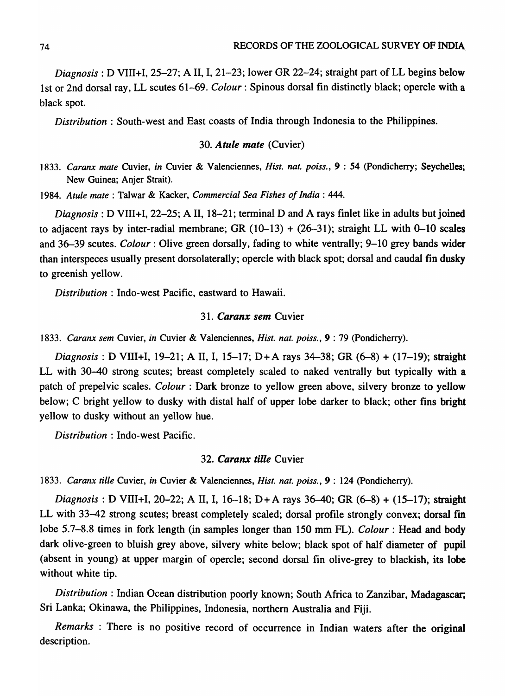*Diagnosis:* D VIII+I, 25-27; A II, 1,21-23; lower GR 22-24; straight part of LL begins below 1 st or 2nd dorsal ray, LL scutes 61-69. *Colour:* Spinous dorsal fin distinctly black; opercle with a black spot.

*Distribution*: South-west and East coasts of India through Indonesia to the Philippines.

### *30. Atule mate* (Cuvier)

*1833. Caranx mate* Cuvier, *in* Cuvier & Valenciennes, *Hist. nat. poiss.,* 9 : 54 (Pondicherry; Seychelles; New Guinea; Anjer Strait).

*1984. Atule mate:* Talwar & Kacker, *Commercial Sea Fishes of India: 444.* 

*Diagnosis*: D VIII+I, 22–25; A II, 18–21; terminal D and A rays finlet like in adults but joined to adjacent rays by inter-radial membrane; GR  $(10-13) + (26-31)$ ; straight LL with 0-10 scales and 36-39 scutes. *Colour:* Olive green dorsally, fading to white ventrally; 9-10 grey bands wider than interspeces usually present dorsolaterally; opercle with black spot; dorsal and caudal fin dusky to greenish yellow.

*Distribution:* Indo-west Pacific, eastward to Hawaii.

### *31. Caranx sem* Cuvier

*1833. Caranx sem* Cuvier, *in* Cuvier & Valenciennes, *Hist. nat. poiss.,* 9 : 79 (Pondicherry).

*Diagnosis:* D Vill+I, 19-21; A II, I, 15-17; D+A rays 34-38; GR (6-8) + (17-19); straight LL with 30-40 strong scutes; breast completely scaled to naked ventrally but typically with a patch of prepelvic scales. *Colour:* Dark bronze to yellow green above, silvery bronze to yellow below; C bright yellow to dusky with distal half of upper lobe darker to black; other fins bright yellow to dusky without an yellow hue.

*Distribution:* Indo-west Pacific.

### *32. Caranx tille* Cuvier

*1833. Caranx tille* Cuvier, *in* Cuvier & Valenciennes, *Hist. nat. poiss.,* 9 : 124 (pondicherry).

*Diagnosis:* D VllI+I, 20-22; A II, I, 16-18; D+A rays 36-40; GR (6-8) + (15-17); straight LL with 33-42 strong scutes; breast completely scaled; dorsal profile strongly convex; dorsal fin lobe 5.7-8.8 times in fork length (in samples longer than 150 mm FL). *Colour:* Head and body dark olive-green to bluish grey above, silvery white below; black spot of half diameter of pupil (absent in young) at upper margin of opercle; second dorsal fin olive-grey to blackish, its lobe without white tip.

*Distribution:* Indian Ocean distribution poorly known; South Africa to Zanzibar, Madagascar; Sri Lanka; Okinawa, the Philippines, Indonesia, northern Australia and Fiji.

*Remarks:* There is no positive record of occurrence in Indian waters after the original description.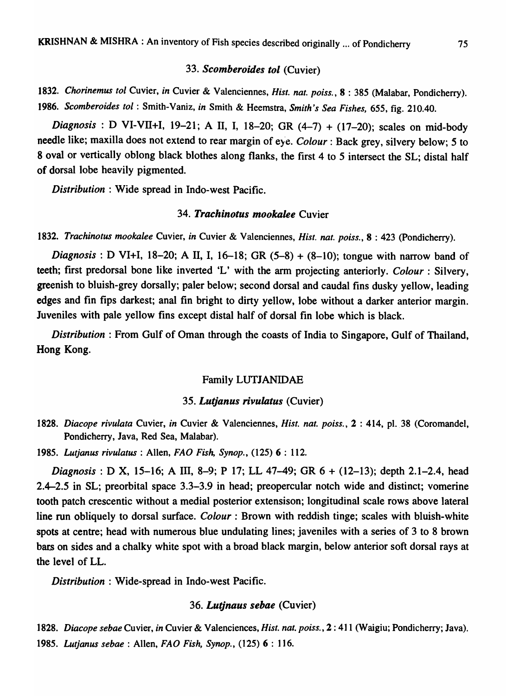#### 33. Scomberoides tol *(Cuvier)*

*1832. Chorinemus tol* Cuvier, *in* Cuvier & Valenciennes, *Hist. nat. poiss.,* 8 : 385 (Malabar, Pondicherry). *1986. Scomberoides tol* : Smith-Vaniz, *in* Smith & Heemstra, *Smith's Sea Fishes,* 655, fig. 210.40.

*Diagnosis:* D VI-Vll+I, 19-21; A II, I, 18-20; GR (4-7) + (17-20); scales on mid-body needle like; maxilla does not extend to rear margin of eye. *Colour*: Back grey, silvery below; 5 to 8 oval or vertically oblong black blothes along flanks, the first 4 to 5 intersect the SL; distal half of dorsal lobe heavily pigmented.

*Distribution:* Wide spread in Indo-west Pacific.

### **34. Trachinotus mookalee Cuvier**

*1832. Trachinotus mookalee* Cuvier, *in* Cuvier & Valenciennes, *Hist. nat. poiss.,* 8 : 423 (pondicherry).

*Diagnosis*: D VI+I, 18-20; A II, I, 16-18; GR (5-8) + (8-10); tongue with narrow band of teeth; first predorsal bone like inverted 'L' with the arm projecting anteriorly. *Colour* : Silvery, greenish to bluish-grey dorsally; paler below; second dorsal and caudal fins dusky yellow, leading edges and fin fips darkest; anal fin bright to dirty yellow, lobe without a darker anterior margin. Juveniles with pale yellow fins except distal half of dorsal fin lobe which is black.

*Distribution* : From Gulf of Oman through the coasts of India to Singapore, Gulf of Thailand, Hong Kong.

### Family LUTJANIDAE

#### **35. Lutjanus rivulatus (Cuvier)**

*1828. Diacope rivulata* Cuvier, *in* Cuvier & Valenciennes, *Hist. nat. poiss.,* 2 : 414, pI. 38 (Coromandel, Pondicherry, Java, Red Sea, Malabar).

*1985. Lutjanus rivulatus* : Allen, *FAD Fish, Synop.,* (125) 6 : 112.

*Diagnosis:* D X, 15-16; A III, 8-9; P 17; LL 47-49; GR 6 + (12-13); depth 2.1-2.4, head 2.4-2.5 in SL; preorbital space 3.3-3.9 in head; preopercular notch wide and distinct; vomerine tooth patch crescentic without a medial posterior extensison; longitudinal scale rows above lateral line run obliquely to dorsal surface. *Colour*: Brown with reddish tinge; scales with bluish-white spots at centre; head with numerous blue undulating lines; javeniles with a series of 3 to 8 brown bars on sides and a chalky white spot with a broad black margin, below anterior soft dorsal rays at the level of LL.

*Distribution:* Wide-spread in Indo-west Pacific.

### 36. Lutinaus sebae (Cuvier)

*1828. Diacope sebae* Cuvier, *in* Cuvier & Valenciences, *Hist. nat. poiss.,* 2: 411 (Waigiu; Pondicherry; Java). 1985. Lutjanus sebae : Allen, *FAO Fish, Synop.*, (125) 6 : 116.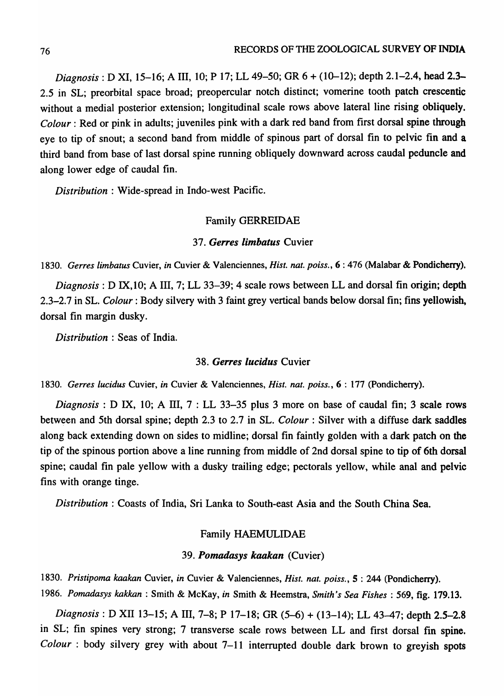*Diagnosis:* D XI, 15-16; A III, 10; P 17; LL 49-50; OR 6 + (10-12); depth 2.1-2.4, head 2.3- 2.5 in SL; preorbital space broad; preopercular notch distinct; vomerine tooth patch crescentic without a medial posterior extension; longitudinal scale rows above lateral line rising obliquely. *Colour:* Red or pink in adults; juveniles pink with a dark red band from first dorsal spine through eye to tip of snout; a second band from middle of spinous part of dorsal fin to pelvic fin and a third band from base of last dorsal spine running obliquely downward across caudal peduncle and along lower edge of caudal fin.

*Distribution:* Wide-spread in Indo-west Pacific.

#### Family OERREIDAE

#### 37. Gerres limbatus Cuvier

*1830. Gerres limbatus* Cuvier, *in* Cuvier & Valenciennes, *Hist. nat. poiss.,* 6 : 476 (Malabar & Pondicherry).

*Diagnosis:* D IX,10; A III, 7; LL 33-39; 4 scale rows between LL and dorsal fin origin; depth 2.3-2.7 in SL. *Colour:* Body silvery with 3 faint grey vertical bands below dorsal fin; fins yellowish, dorsal fin margin dusky.

*Distribution* : Seas of India.

### **38. Gerres lucidus Cuvier**

*1830. Gerres lucidus* Cuvier, *in* Cuvier & Valenciennes, *Hist. nat. poiss.,* 6 : 177 (Pondicherry).

*Diagnosis* : D IX, 10; A ITI, 7 : LL 33-35 plus 3 more on base of caudal fin; 3 scale rows between and 5th dorsal spine; depth 2.3 to 2.7 in SL. *Colour:* Silver with a diffuse dark saddles along back extending down on sides to midline; dorsal fin faintly golden with a dark patch on the tip of the spinous portion above a line running from middle of 2nd dorsal spine to tip of 6th dorsal spine; caudal fin pale yellow with a dusky trailing edge; pectorals yellow, while anal and pelvic fins with orange tinge.

*Distribution* : Coasts of India, Sri Lanka to South-east Asia and the South China Sea.

### Family HAEMULIDAE

### *39. Pomadasys kaakan* (Cuvier)

1830. Pristipoma kaakan Cuvier, in Cuvier & Valenciennes, *Hist. nat. poiss.*, 5: 244 (Pondicherry). *1986. Pomadasys kakkan* : Smith & McKay, *in* Smith & Heemstra, *Smith's Sea Fishes:* 569, fig. 179.13.

*Diagnosis:* D XII 13-15; A 111,7-8; P 17-18; OR (5-6) + (13-14); LL 43-47; depth 2.5-2.8 in SL; fin spines very strong; 7 transverse scale rows between LL and first dorsal fin spine. *Colour* : body silvery grey with about 7-11 interrupted double dark brown to greyish spots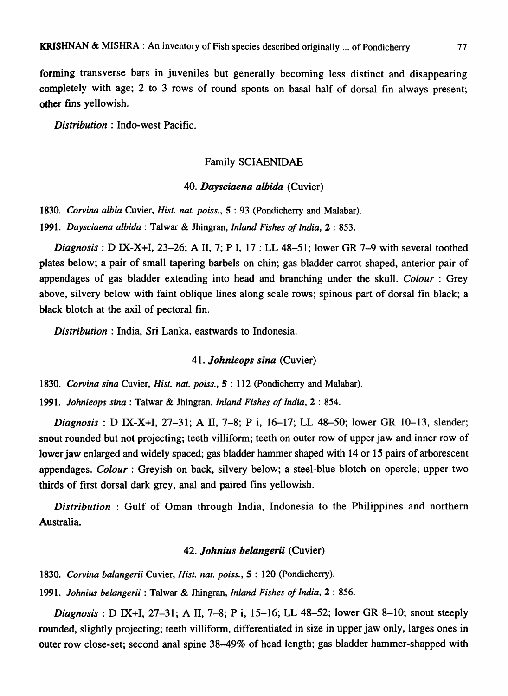forming transverse bars in juveniles but generally becoming less distinct and disappearing completely with age; 2 to 3 rows of round sponts on basal half of dorsal fin always present; other fins yellowish.

*Distribution* : Indo-west Pacific.

### Family SCIAENIDAE

### 40. Daysciaena albida (Cuvier)

*1830. Corvina albia* Cuvier, *Hist. nat. poiss.,* 5 : 93 (Pondicherry and Malabar).

*1991. Daysciaena albida* : Talwar & Jhingran, *Inland Fishes of India,* 2 : 853.

*Diagnosis:* D IX-X+I, 23-26; A 11,7; PI, 17 : LL 48-51; lower GR 7-9 with several toothed plates below; a pair of small tapering barbels on chin; gas bladder carrot shaped, anterior pair of appendages of gas bladder extending into head and branching under the skull. *Colour:* Grey above, silvery below with faint oblique lines along scale rows; spinous part of dorsal fin black; a black blotch at the axil of pectoral fin.

*Distribution* : India, Sri Lanka, eastwards to Indonesia.

### *41. lohnieops sina* (Cuvier)

*1830. Corvina sina* Cuvier, *Hist. nat. poiss.,* 5 : 112 (Pondicherry and Malabar).

*1991. lohnieops sina* : Talwar & Jhingran, *Inland Fishes of India,* 2 : 854.

*Diagnosis:* D IX-X+I, 27-31; A II, 7-8; P i, 16-17; LL 48-50; lower GR 10-13, slender; snout rounded but not projecting; teeth villiform; teeth on outer row of upper jaw and inner row of lower jaw enlarged and widely spaced; gas bladder hammer shaped with 14 or 15 pairs of arborescent appendages. *Colour*: Greyish on back, silvery below; a steel-blue blotch on opercle; upper two thirds of first dorsal dark grey, anal and paired fins yellowish.

*Distribution* : Gulf of Oman through India, Indonesia to the Philippines and northern Australia.

# *42. lohnius belangerii* (Cuvier)

*1830. Corvina balangerii* Cuvier, *Hist. nat. poiss.,* 5 : 120 (pondicherry).

*1991. lohnius belangerii* : Talwar & Jhingran, *Inland Fishes of India,* 2 : 856 .

*Diagnosis* : D IX+I, 27-31; A II, 7-8; P i, 15-16; LL 48-52; lower GR 8-10; snout steeply rounded, slightly projecting; teeth villiform, differentiated in size in upper jaw only, larges ones in outer row close-set; second anal spine 38-49% of head length; gas bladder hammer-shapped with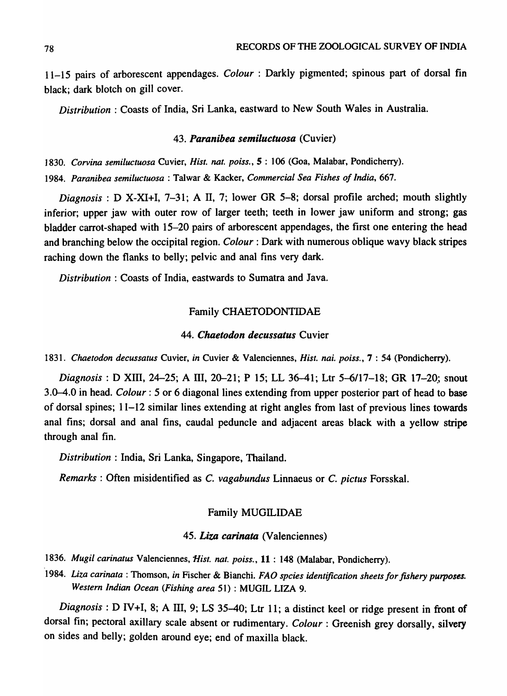11-15 pairs of arborescent appendages. *Colour* : Darkly pigmented; spinous part of dorsal fin black; dark blotch on gill cover.

*Distribution* : Coasts of India, Sri Lanka, eastward to New South Wales in Australia.

### *43. Paranibea semiluctuosa* (Cuvier)

1830. Corvina semiluctuosa Cuvier, *Hist. nat. poiss.*, 5: 106 (Goa, Malabar, Pondicherry). *1984. Paranibea semiluctuosa* : Talwar & Kacker, *Commercial Sea Fishes of India, 667.* 

*Diagnosis:* D X-XI+I, 7-31; A II, 7; lower GR 5-8; dorsal profile arched; mouth slightly inferior; upper jaw with outer row of larger teeth; teeth in lower jaw uniform and strong; gas bladder carrot-shaped with 15-20 pairs of arborescent appendages, the first one entering the head and branching below the occipital region. *Colour:* Dark with numerous oblique wavy black stripes raching down the flanks to belly; pelvic and anal fins very dark.

*Distribution:* Coasts of India, eastwards to Sumatra and Java.

#### Family CHAETODONTIDAE

### *44. Chaetodon decussatus* Cuvier

*1831. Chaetodon decussatus* Cuvier, *in* Cuvier & Valenciennes, *Hist. nai. poiss.,* 7 : 54 (Pondicherry).

*Diagnosis:* D XIll, 24-25; A ITI, 20-21; P 15; LL 36-41; Ltr *5-6/17-18;* GR 17-20,; snout 3.0-4.0 in head. *Colour:* 5 or 6 diagonal lines extending from upper posterior part of head to base of dorsal spines; 11-12 similar lines extending at right angles from last of previous lines towards anal fins; dorsal and anal fins, caudal peduncle and adjacent areas black with a yellow stripe through anal fin.

*Distribution:* India, Sri Lanka, Singapore, Thailand.

*Remarks* : Often misidentified as C. *vagabundus* Linnaeus or C. *pictus* Forsskal.

#### Family MUGILIDAE

#### *45. Liza carinata* (Valenciennes)

*1836. Mugil carinatus* Valenciennes, *Hist. nat. poiss.,* 11 : 148 (Malabar, Pondicherry).

*1984. Liza carinata* : Thomson, *in* Fischer & Bianchi. *FAO spcies identification sheets for fishery purposes. Western Indian Ocean (Fishing area* 51) : MUGIL LIZA 9.

*Diagnosis:* D *N* +1, 8; A III, 9; LS 35-40; Ltr 11; a distinct keel or ridge present in front of dorsal fin; pectoral axillary scale absent or rudimentary. *Colour* : Greenish grey dorsally, silvery on sides and belly; golden around eye; end of maxilla black.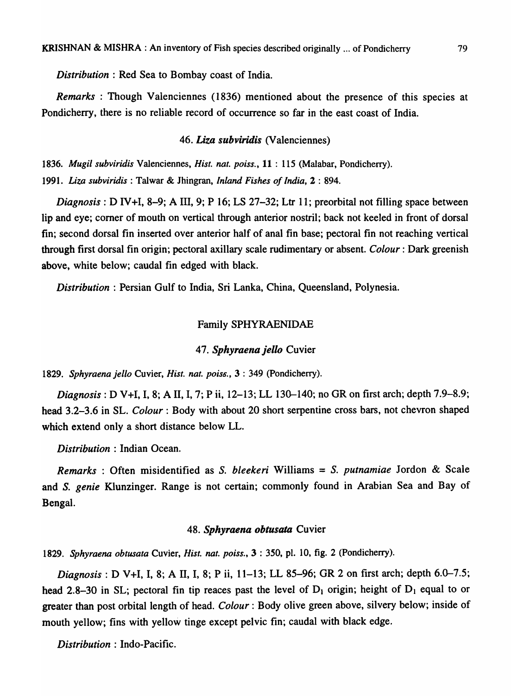*Distribution:* Red Sea to Bombay coast of India.

*Remarks* : Though Valenciennes (1836) mentioned about the presence of this species at Pondicherry, there is no reliable record of occurrence so far in the east coast of India.

### *46. Liza subviridis* (Valenciennes)

1836. *Mugil subviridis* Valenciennes, *Hist. nat. poiss.*, 11: 115 (Malabar, Pondicherry). 1991. *Liza subviridis* : Talwar & Jhingran, *Inland Fishes of India,* 2 : 894.

*Diagnosis:* D IV +1, 8-9; A III, 9; P 16; LS 27-32; Ltr 11; preorbital not filling space between lip and eye; comer of mouth on vertical through anterior nostril; back not keeled in front of dorsal fin; second dorsal fin inserted over anterior half of anal fin base; pectoral fin not reaching vertical through first dorsal fin origin; pectoral axillary scale rudimentary or absent. *Colour:* Dark greenish above, white below; caudal fin edged with black.

*Distribution* : Persian Gulf to India, Sri Lanka, China, Queensland, Polynesia.

### Family SPHYRAENIDAE

### 47. Sphyraena jello Cuvier

1829. *Sphyraena jello* Cuvier, *Hist. nat. pois6.,* 3 : 349 (Pondicherry).

*Diagnosis:* D V+I, I, 8; A II, I, 7; P ii, 12-13; LL 130-140; no GR on first arch; depth 7.9-8.9; head 3.2-3.6 in SL. *Colour*: Body with about 20 short serpentine cross bars, not chevron shaped which extend only a short distance below LL.

*Distribution* : Indian Ocean.

*Remarks:* Often misidentified as S. *bleekeri* Williams = S. *putnamiae* Jordon & Scale and *S. genie* Klunzinger. Range is not certain; commonly found in Arabian Sea and Bay of Bengal.

### 48. Sphyraena obtusata Cuvier

1829. *Sphyraena obtusata* Cuvier, *Hist. nat. poiss.,* 3 : 350, pl. 10, fig. 2 (Pondicherry).

*Diagnosis*: *D* V+I, I, 8; A II, I, 8; P ii, 11–13; LL 85–96; GR 2 on first arch; depth 6.0–7.5; head 2.8-30 in SL; pectoral fin tip reaces past the level of  $D_1$  origin; height of  $D_1$  equal to or greater than post orbital length of head. *Colour:* Body olive green above, silvery below; inside of mouth yellow; fins with yellow tinge except pelvic fin; caudal with black edge.

*Distribution:* Indo-Pacific.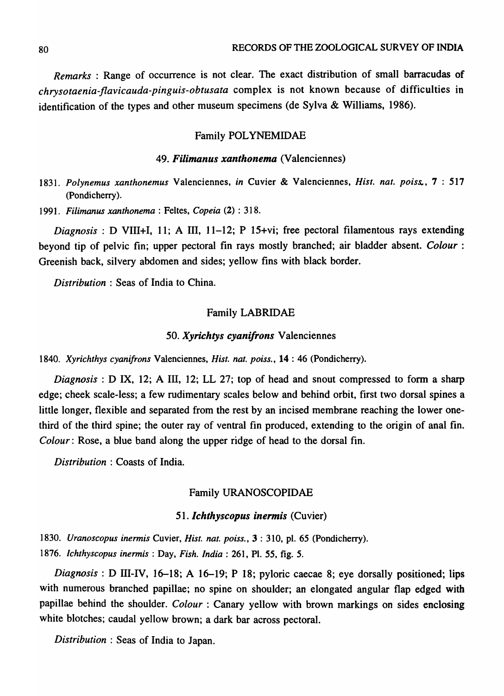*Remarks* : Range of occurrence is not clear. The exact distribution of small barracudas of *chrysotaenia-flavicauda-pinguis-obtusata* complex is not known because of difficulties in identification of the types and other museum specimens (de Sylva & Williams, 1986).

### Family POLYNEMIDAE

### *49. Filimanus xanthonema* (Valenciennes)

- *1831. Polynemus xanthonemus* Valenciennes, *in* Cuvier & Valenciennes, *Hist. nat. poiss."* 7 : 517 (Pondicherry).
- *1991. Filimanus xanthonema* : Feltes, *Copeia* (2) : 318.

*Diagnosis*: D VIII+I, 11; A III, 11-12; P 15+vi; free pectoral filamentous rays extending beyond tip of pelvic fin; upper pectoral fin rays mostly branched; air bladder absent. *Colour:*  Greenish back, silvery abdomen and sides; yellow fins with black border.

*Distribution* : Seas of India to China.

### Family LABRIDAE

### *50. Xyrichtys cyanifrons* Valenciennes

*1840. Xyrichthys cyanifrons* Valenciennes, *Hist. nat. poiss.,* 14 : 46 (Pondicherry).

*Diagnosis:* D IX, 12; A III, 12; LL 27; top of head and snout compressed to form a sharp edge; cheek scale-less; a few rudimentary scales below and behind orbit, first two dorsal spines a little longer, flexible and separated from the rest by an incised membrane reaching the lower onethird of the third spine; the outer ray of ventral fin produced, extending to the origin of anal fin. *Colour*: Rose, a blue band along the upper ridge of head to the dorsal fin.

*Distribution* : Coasts of India.

### Family URANOSCOPIDAE

#### 51. Ichthyscopus inermis *(Cuvier)*

*1830. Uranoscopus inermis* Cuvier, *Hist. nat. poiss.,* 3 : 310, pI. 65 (Pondicherry). *1876. Ichthyscopus inermis* : Day, *Fish. India:* 261, PI. 55, fig. 5.

*Diagnosis*: D III-IV, 16-18; A 16-19; P 18; pyloric caecae 8; eye dorsally positioned; lips with numerous branched papillae; no spine on shoulder; an elongated angular flap edged with papillae behind the shoulder. *Colour*: Canary yellow with brown markings on sides enclosing white blotches; caudal yellow brown; a dark bar across pectoral.

*Distribution:* Seas of India to Japan.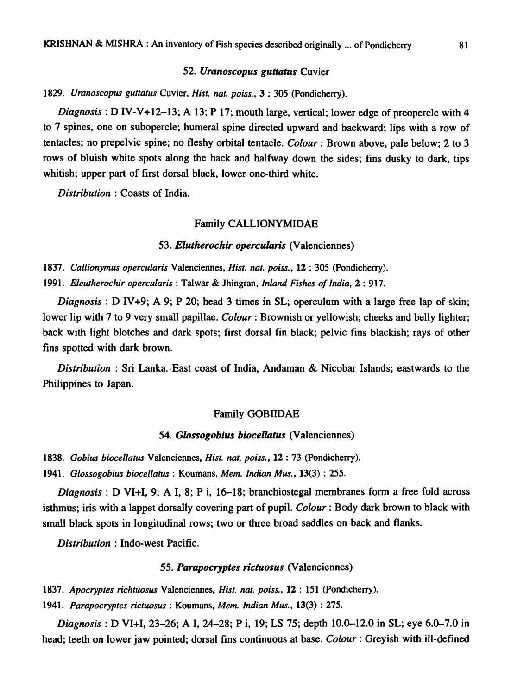### *52. Uranoscopus guttatus* Cuvier

### *1829. Uranoscopus guttatus* Cuvier, *Hist. nat. poiss.,* 3 : 305 (Pondicherry).

*Diagnosis*: D IV-V+12-13; A 13; P 17; mouth large, vertical; lower edge of preopercle with 4 to 7 spines, one on subopercle; humeral spine directed upward and backward; lips with a row of tentacles; no prepelvic spine; no fleshy orbital tentacle. *Colour:* Brown above, pale below; 2 to 3 rows of bluish white spots along the back and halfway down the sides; fins dusky to dark, tips whitish; upper part of first dorsal black, lower one-third white.

*Distribution* : Coasts of India.

#### Family CALLIONYMIDAE

#### *53. Elutherochir opercularis* (Valenciennes)

*1837. Callionymus opercularis* Valenciennes, *Hisl. nal. poiss.,* 12 : 305 (Pondicherry). *1991. Eleutherochir opercuiaris* :. Talwar & Jhingran, *Inland Fishes of India,* 2 : 917.

*Diagnosis:* D *N+9;* A 9; P 20; head 3 times in SL; operculum with a large free lap of skin; lower lip with 7 to 9 very small papillae. *Colour:* Brownish or yellowish; cheeks and belly lighter; back with light blotches and dark spots; first dorsal fin black; pelvic fins blackish; rays of other fins spotted with dark brown.

*Distribution* : Sri Lanka. East coast of India, Andaman & Nicobar Islands; eastwards to the Philippines to Japan.

### Family GOBIIDAE

### *54. Glossogobius biocellatus* (Valenciennes)

1838. Gobius biocellatus Valenciennes, *Hist. nat. poiss.*, 12:73 (Pondicherry). *1941. Glossogobius biocellatus* : Koumans, *Mem. Indian Mus.,* 13(3) : 255.

*Diagnosis:* D VI+I, 9; A I, 8; P i, 16-18; branchiostegal membranes form a free fold across isthmus; iris with a lappet dorsally covering part of pupil. *Colour:* Body dark brown to black with small black spots in longitudinal rows; two or three broad saddles on back and flanks.

*Distribution:* Indo-west Pacific.

#### *55. Parapocryptes rictuosus* (Valenciennes)

*1837. Apocryples richtuosus* Valenciennes, *Hist. nat. poiss.,* 12 : 151 (Pondicherry).

*1941. Parapocryptes rictuosus* : Koumans, *Mem. Indian Mus.,* 13(3) : 275.

*Diagnosis*: D VI+I, 23-26; A I, 24-28; P i, 19; LS 75; depth 10.0-12.0 in SL; eye 6.0-7.0 in head; teeth on lower jaw pointed; dorsal fins continuous at base. *Colour:* Greyish with ill-defined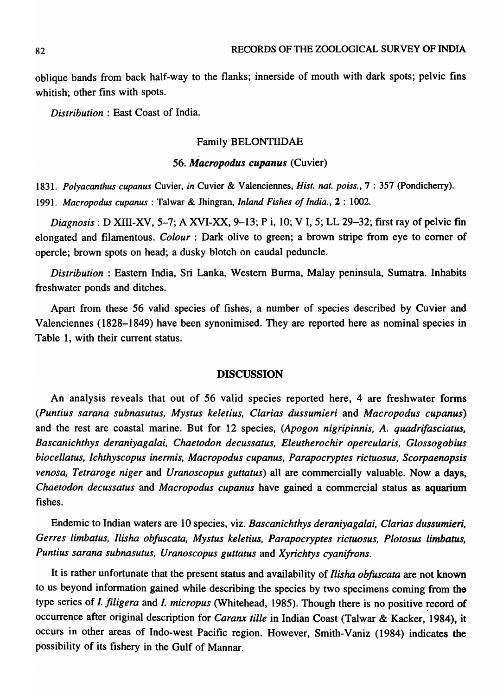oblique bands from back half-way to the flanks; innerside of mouth with dark spots; pelvic fins whitish; other fins with spots.

*Distribution* : East Coast of India.

### Family BELONTIIDAE

### *56. Macropodus cupanus* (Cuvier)

1831. Polyacanthus cupanus Cuvier, in Cuvier & Valenciennes, *Hist. nat. poiss.*, 7:357 (Pondicherry). *1991. Macropodus cupanus* : Talwar & Jhingran, *Inland Fishes of India.,* 2 : 1002.

*Diagnosis:* D XIII-XV, 5-7; A XVI-XX, 9-13; P i, 10; V I, 5; LL 29-32; first ray of pelvic fin elongated and filamentous. *Colour* : Dark olive to green; a brown stripe from eye to comer of opercle; brown spots on head; a dusky blotch on caudal peduncle.

*Distribution:* Eastern India, Sri Lanka, Western Burma, Malay peninsula, Sumatra. Inhabits freshwater ponds and ditches.

Apart from these 56 valid species of fishes, a number of species described by Cuvier and Valenciennes (1828-1849) have been synonimised. They are reported here as nominal species in Table 1, with their current status.

#### DISCUSSION

An analysis reveals that out of 56 valid species reported here, 4 are freshwater forms *(Puntius sarana subnasutus, Mystus keletius, Clarias dussumieri* and *Macropodus cupanus)*  and the rest are coastal marine. But for 12 species, *(Apogon nigripinnis,* A. *quadrifasciatus, Bascanichthys deraniyagalai, Chaetodon decussatus, Eleutherochir opercularis, Glossogobius biocellatus, Ichthyscopus inermis, Macropodus cupanus, Parapocryptes rictuosus, Scorpaenopsis venosa, Tetraroge niger and Uranoscopus guttatus*) all are commercially valuable. Now a days, *Chaetodon decussatus* and *Macropodus cupanus* have gained a commercial status as aquarium fishes.

Endemic to Indian waters are 10 species, viz. *Bascanichthys deraniyagalai, Clarias dussumieri, Gerres limbatus, llisha obfuscata, Mystus keletius, Parapocryptes rictuosus, Plotosus limbatus, Puntius sarana subnasutus, Uranoscopus guttatus* and *Xyrichtys cyanifrons.* 

It is rather unfortunate that the present status and availability of *llisha obfuscata* are not known to us beyond information gained while describing the species by two specimens coming, from the type series of *I. filigera* and *I. micropus* (Whitehead, 1985). Though there is no positive record of occurrence after original description for *Caranx tille* in Indian Coast (Talwar & Kacker; 1984), it occurs in other areas of Indo-west Pacific region. However, Smith-Vaniz (1984) indicates the possibility of its fishery in the Gulf of Mannar.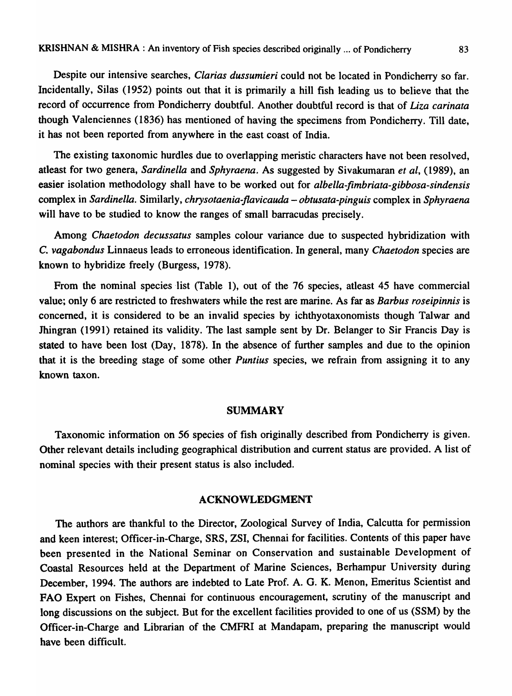Despite our intensive searches, *Clarias dussumieri* could not be located in Pondicherry so far. Incidentally, Silas (1952) points out that it is primarily a hill fish leading us to believe that the record of occurrence from Pondicherry doubtful. Another doubtful record is that of *Liza carinata*  though Valenciennes (1836) has mentioned of having the specimens from Pondicherry. Till date, it has not been reported from anywhere in the east coast of India.

The existing taxonomic hurdles due to overlapping meristic characters have not been resolved, atleast for two genera, *Sardinella* and *Sphyraena.* As suggested by Sivakumaran *et al,* (1989), an easier isolation methodology shall have to be worked out for *albella-fimbriata-gibbosa-sindensis*  complex in *Sardinella.* Similarly, *chrysotaenia-jlavicauda* - *obtusata-pinguis* complex in *Sphyraena*  will have to be studied to know the ranges of small barracudas precisely.

Among *Chaetodon decussatus* samples colour variance due to suspected hybridization with C. *vagabondus* Linnaeus leads to erroneous identification. In general, many *Chaetodon* species are known to hybridize freely (Burgess, 1978).

From the nominal species list (Table 1), out of the 76 species, atleast 45 have commercial value; only 6 are restricted to freshwaters while the rest are marine. As far as *Barbus roseipinnis* is concerned, it is considered to be an invalid species by ichthyotaxonomists though Talwar and lhingran (1991) retained its validity. The last sample sent by Dr. Belanger to Sir Francis Day is stated to have been lost (Day, 1878). In the absence of further samples and due to the opinion that it is the breeding stage of some other *Puntius* species, we refrain from assigning it to any known taxon.

#### SUMMARY

Taxonomic information on 56 species of fish originally described from Pondicherry is given. Other relevant details including geographical distribution and current status are provided. A list of nominal species with their present status is also included.

# ACKNOWLEDGMENT

The authors are thankful to the Director, Zoological Survey of India, Calcutta for permission and keen interest; Officer-in-Charge, SRS, ZSI, Chennai for facilities. Contents of this paper have been presented in the National Seminar on Conservation and sustainable Development of Coastal Resources held at the Department of Marine Sciences, Berhampur University during December, 1994. The authors are indebted to Late Prof. A. G. K. Menon, Emeritus Scientist and FAO Expert on Fishes, Chennai for continuous encouragement, scrutiny of the manuscript and long discussions on the subject. But for the excellent facilities provided to one of us (SSM) by the Officer-in-Charge and Librarian of the CMFRI at Mandapam, preparing the manuscript would have been difficult.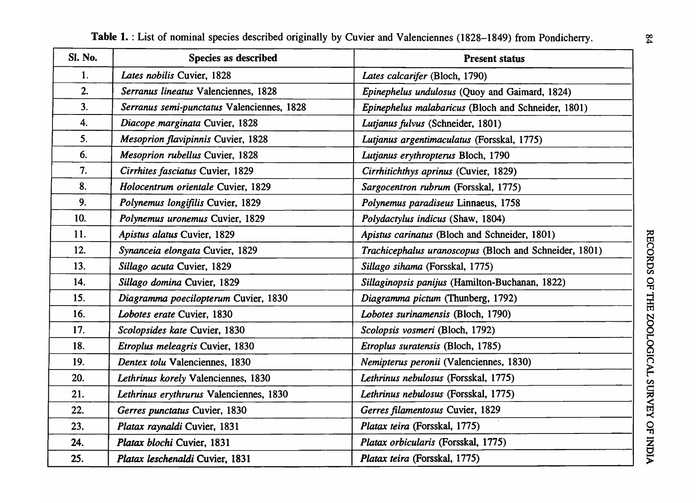| SI. No.        | Species as described                       | <b>Present status</b>                                  |
|----------------|--------------------------------------------|--------------------------------------------------------|
| $\mathbf{1}$ . | Lates nobilis Cuvier, 1828                 | Lates calcarifer (Bloch, 1790)                         |
| 2.             | Serranus lineatus Valenciennes, 1828       | Epinephelus undulosus (Quoy and Gaimard, 1824)         |
| 3.             | Serranus semi-punctatus Valenciennes, 1828 | Epinephelus malabaricus (Bloch and Schneider, 1801)    |
| 4.             | Diacope marginata Cuvier, 1828             | Lutjanus fulvus (Schneider, 1801)                      |
| 5.             | <b>Mesoprion flavipinnis Cuvier, 1828</b>  | Lutjanus argentimaculatus (Forsskal, 1775)             |
| 6.             | <b>Mesoprion rubellus Cuvier, 1828</b>     | Lutjanus erythropterus Bloch, 1790                     |
| 7.             | Cirrhites fasciatus Cuvier, 1829           | Cirrhitichthys aprinus (Cuvier, 1829)                  |
| 8.             | Holocentrum orientale Cuvier, 1829         | Sargocentron rubrum (Forsskal, 1775)                   |
| 9.             | Polynemus longifilis Cuvier, 1829          | Polynemus paradiseus Linnaeus, 1758                    |
| 10.            | Polynemus uronemus Cuvier, 1829            | Polydactylus indicus (Shaw, 1804)                      |
| 11.            | Apistus alatus Cuvier, 1829                | Apistus carinatus (Bloch and Schneider, 1801)          |
| 12.            | Synanceia elongata Cuvier, 1829            | Trachicephalus uranoscopus (Bloch and Schneider, 1801) |
| 13.            | Sillago acuta Cuvier, 1829                 | Sillago sihama (Forsskal, 1775)                        |
| 14.            | Sillago domina Cuvier, 1829                | Sillaginopsis panijus (Hamilton-Buchanan, 1822)        |
| 15.            | Diagramma poecilopterum Cuvier, 1830       | Diagramma pictum (Thunberg, 1792)                      |
| 16.            | Lobotes erate Cuvier, 1830                 | Lobotes surinamensis (Bloch, 1790)                     |
| 17.            | Scolopsides kate Cuvier, 1830              | Scolopsis vosmeri (Bloch, 1792)                        |
| 18.            | Etroplus meleagris Cuvier, 1830            | Etroplus suratensis (Bloch, 1785)                      |
| 19.            | Dentex tolu Valenciennes, 1830             | Nemipterus peronii (Valenciennes, 1830)                |
| 20.            | Lethrinus korely Valenciennes, 1830        | Lethrinus nebulosus (Forsskal, 1775)                   |
| 21.            | Lethrinus erythrurus Valenciennes, 1830    | Lethrinus nebulosus (Forsskal, 1775)                   |
| 22.            | Gerres punctatus Cuvier, 1830              | Gerres filamentosus Cuvier, 1829                       |
| 23.            | Platax raynaldi Cuvier, 1831               | Platax teira (Forsskal, 1775)                          |
| 24.            | Platax blochi Cuvier, 1831                 | Platax orbicularis (Forsskal, 1775)                    |
| 25.            | Platax leschenaldi Cuvier, 1831            | Platax teira (Forsskal, 1775)                          |

Table 1. : List of nominal species described originally by Cuvier and Valenciennes (1828-1849) from Pondicherry.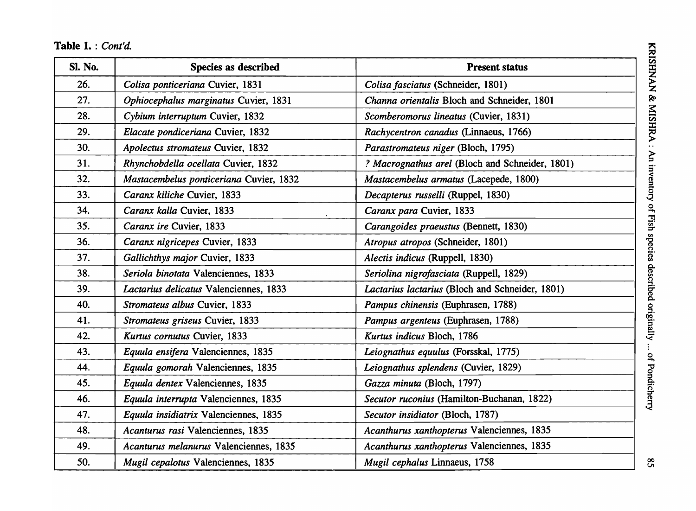| Sl. No. | Species as described                    | <b>Present status</b>                           |
|---------|-----------------------------------------|-------------------------------------------------|
| 26.     | Colisa ponticeriana Cuvier, 1831        | Colisa fasciatus (Schneider, 1801)              |
| 27.     | Ophiocephalus marginatus Cuvier, 1831   | Channa orientalis Bloch and Schneider, 1801     |
| 28.     | Cybium interruptum Cuvier, 1832         | Scomberomorus lineatus (Cuvier, 1831)           |
| 29.     | Elacate pondiceriana Cuvier, 1832       | Rachycentron canadus (Linnaeus, 1766)           |
| 30.     | Apolectus stromateus Cuvier, 1832       | Parastromateus niger (Bloch, 1795)              |
| 31.     | Rhynchobdella ocellata Cuvier, 1832     | ? Macrognathus arel (Bloch and Schneider, 1801) |
| 32.     | Mastacembelus ponticeriana Cuvier, 1832 | Mastacembelus armatus (Lacepede, 1800)          |
| 33.     | Caranx kiliche Cuvier, 1833             | Decapterus russelli (Ruppel, 1830)              |
| 34.     | Caranx kalla Cuvier, 1833               | Caranx para Cuvier, 1833                        |
| 35.     | Caranx ire Cuvier, 1833                 | Carangoides praeustus (Bennett, 1830)           |
| 36.     | Caranx nigricepes Cuvier, 1833          | Atropus atropos (Schneider, 1801)               |
| 37.     | Gallichthys major Cuvier, 1833          | Alectis indicus (Ruppell, 1830)                 |
| 38.     | Seriola binotata Valenciennes, 1833     | Seriolina nigrofasciata (Ruppell, 1829)         |
| 39.     | Lactarius delicatus Valenciennes, 1833  | Lactarius lactarius (Bloch and Schneider, 1801) |
| 40.     | Stromateus albus Cuvier, 1833           | Pampus chinensis (Euphrasen, 1788)              |
| 41.     | Stromateus griseus Cuvier, 1833         | Pampus argenteus (Euphrasen, 1788)              |
| 42.     | Kurtus cornutus Cuvier, 1833            | Kurtus indicus Bloch, 1786                      |
| 43.     | Equula ensifera Valenciennes, 1835      | Leiognathus equulus (Forsskal, 1775)            |
| 44.     | Equula gomorah Valenciennes, 1835       | Leiognathus splendens (Cuvier, 1829)            |
| 45.     | Equula dentex Valenciennes, 1835        | Gazza minuta (Bloch, 1797)                      |
| 46.     | Equula interrupta Valenciennes, 1835    | Secutor ruconius (Hamilton-Buchanan, 1822)      |
| 47.     | Equula insidiatrix Valenciennes, 1835   | Secutor insidiator (Bloch, 1787)                |
| 48.     | Acanturus rasi Valenciennes, 1835       | Acanthurus xanthopterus Valenciennes, 1835      |
| 49.     | Acanturus melanurus Valenciennes, 1835  | Acanthurus xanthopterus Valenciennes, 1835      |
| 50.     | Mugil cepalotus Valenciennes, 1835      | Mugil cephalus Linnaeus, 1758                   |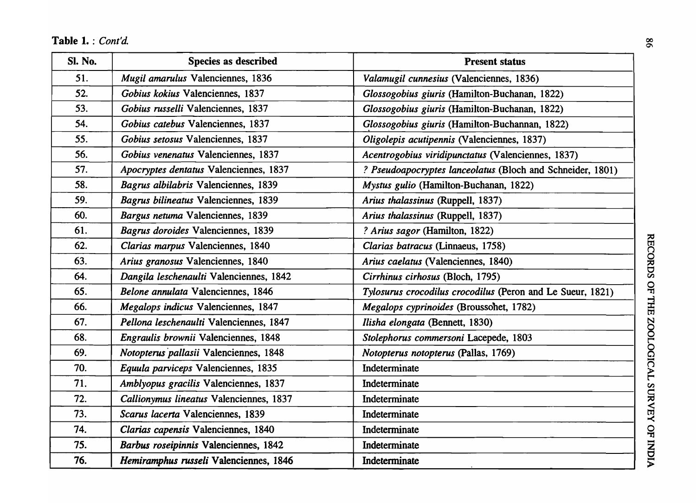| <b>Sl. No.</b> | <b>Species as described</b>             | <b>Present status</b>                                      |
|----------------|-----------------------------------------|------------------------------------------------------------|
| 51.            | Mugil amarulus Valenciennes, 1836       | Valamugil cunnesius (Valenciennes, 1836)                   |
| 52.            | Gobius kokius Valenciennes, 1837        | Glossogobius giuris (Hamilton-Buchanan, 1822)              |
| 53.            | Gobius russelli Valenciennes, 1837      | Glossogobius giuris (Hamilton-Buchanan, 1822)              |
| 54.            | Gobius catebus Valenciennes, 1837       | Glossogobius giuris (Hamilton-Buchannan, 1822)             |
| 55.            | Gobius setosus Valenciennes, 1837       | Oligolepis acutipennis (Valenciennes, 1837)                |
| 56.            | Gobius venenatus Valenciennes, 1837     | Acentrogobius viridipunctatus (Valenciennes, 1837)         |
| 57.            | Apocryptes dentatus Valenciennes, 1837  | ? Pseudoapocryptes lanceolatus (Bloch and Schneider, 1801) |
| 58.            | Bagrus albilabris Valenciennes, 1839    | Mystus gulio (Hamilton-Buchanan, 1822)                     |
| 59.            | Bagrus bilineatus Valenciennes, 1839    | Arius thalassinus (Ruppell, 1837)                          |
| 60.            | Bargus netuma Valenciennes, 1839        | Arius thalassinus (Ruppell, 1837)                          |
| 61.            | Bagrus doroides Valenciennes, 1839      | ? Arius sagor (Hamilton, 1822)                             |
| 62.            | Clarias marpus Valenciennes, 1840       | Clarias batracus (Linnaeus, 1758)                          |
| 63.            | Arius granosus Valenciennes, 1840       | Arius caelatus (Valenciennes, 1840)                        |
| 64.            | Dangila leschenaulti Valenciennes, 1842 | Cirrhinus cirhosus (Bloch, 1795)                           |
| 65.            | Belone annulata Valenciennes, 1846      | Tylosurus crocodilus crocodilus (Peron and Le Sueur, 1821) |
| 66.            | Megalops indicus Valenciennes, 1847     | Megalops cyprinoides (Broussonet, 1782)                    |
| 67.            | Pellona leschenaulti Valenciennes, 1847 | Ilisha elongata (Bennett, 1830)                            |
| 68.            | Engraulis brownii Valenciennes, 1848    | Stolephorus commersoni Lacepede, 1803                      |
| 69.            | Notopterus pallasii Valenciennes, 1848  | Notopterus notopterus (Pallas, 1769)                       |
| 70.            | Equula parviceps Valenciennes, 1835     | Indeterminate                                              |
| 71.            | Amblyopus gracilis Valenciennes, 1837   | Indeterminate                                              |
| 72.            | Callionymus lineatus Valenciennes, 1837 | Indeterminate                                              |
| 73.            | Scarus lacerta Valenciennes, 1839       | Indeterminate                                              |
| 74.            | Clarias capensis Valenciennes, 1840     | Indeterminate                                              |
| 75.            | Barbus roseipinnis Valenciennes, 1842   | Indeterminate                                              |
| 76.            | Hemiramphus russeli Valenciennes, 1846  | Indeterminate                                              |